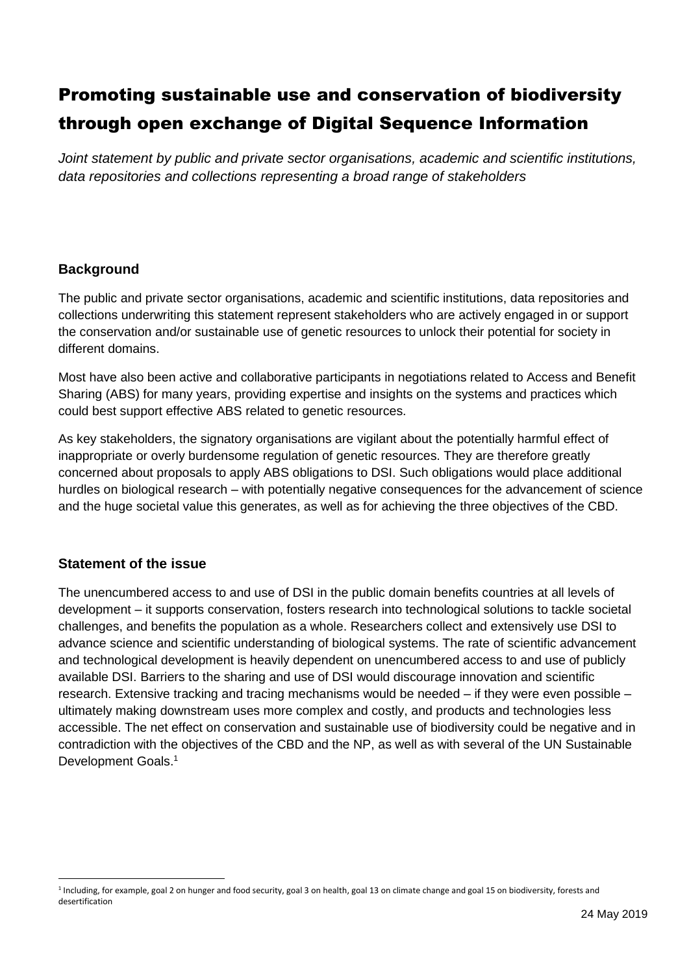*Joint statement by public and private sector organisations, academic and scientific institutions, data repositories and collections representing a broad range of stakeholders*

### **Background**

The public and private sector organisations, academic and scientific institutions, data repositories and collections underwriting this statement represent stakeholders who are actively engaged in or support the conservation and/or sustainable use of genetic resources to unlock their potential for society in different domains.

Most have also been active and collaborative participants in negotiations related to Access and Benefit Sharing (ABS) for many years, providing expertise and insights on the systems and practices which could best support effective ABS related to genetic resources.

As key stakeholders, the signatory organisations are vigilant about the potentially harmful effect of inappropriate or overly burdensome regulation of genetic resources. They are therefore greatly concerned about proposals to apply ABS obligations to DSI. Such obligations would place additional hurdles on biological research – with potentially negative consequences for the advancement of science and the huge societal value this generates, as well as for achieving the three objectives of the CBD.

# **Statement of the issue**

 $\overline{a}$ 

The unencumbered access to and use of DSI in the public domain benefits countries at all levels of development – it supports conservation, fosters research into technological solutions to tackle societal challenges, and benefits the population as a whole. Researchers collect and extensively use DSI to advance science and scientific understanding of biological systems. The rate of scientific advancement and technological development is heavily dependent on unencumbered access to and use of publicly available DSI. Barriers to the sharing and use of DSI would discourage innovation and scientific research. Extensive tracking and tracing mechanisms would be needed – if they were even possible – ultimately making downstream uses more complex and costly, and products and technologies less accessible. The net effect on conservation and sustainable use of biodiversity could be negative and in contradiction with the objectives of the CBD and the NP, as well as with several of the UN Sustainable Development Goals.<sup>1</sup>

<sup>&</sup>lt;sup>1</sup> Including, for example, goal 2 on hunger and food security, goal 3 on health, goal 13 on climate change and goal 15 on biodiversity, forests and desertification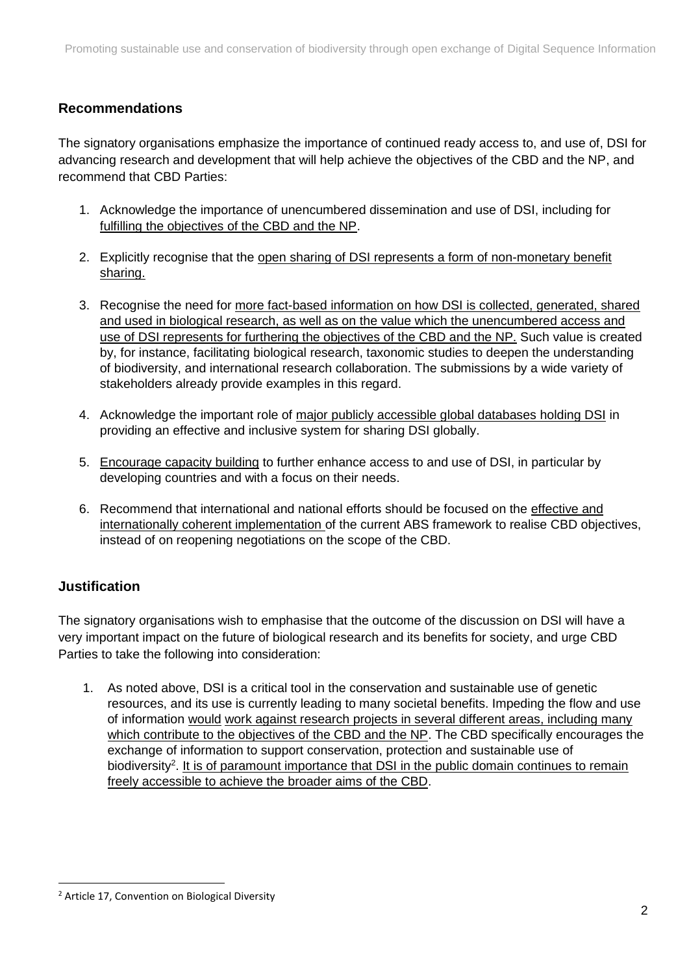# **Recommendations**

The signatory organisations emphasize the importance of continued ready access to, and use of, DSI for advancing research and development that will help achieve the objectives of the CBD and the NP, and recommend that CBD Parties:

- 1. Acknowledge the importance of unencumbered dissemination and use of DSI, including for fulfilling the objectives of the CBD and the NP.
- 2. Explicitly recognise that the open sharing of DSI represents a form of non-monetary benefit sharing.
- 3. Recognise the need for more fact-based information on how DSI is collected, generated, shared and used in biological research, as well as on the value which the unencumbered access and use of DSI represents for furthering the objectives of the CBD and the NP. Such value is created by, for instance, facilitating biological research, taxonomic studies to deepen the understanding of biodiversity, and international research collaboration. The submissions by a wide variety of stakeholders already provide examples in this regard.
- 4. Acknowledge the important role of major publicly accessible global databases holding DSI in providing an effective and inclusive system for sharing DSI globally.
- 5. Encourage capacity building to further enhance access to and use of DSI, in particular by developing countries and with a focus on their needs.
- 6. Recommend that international and national efforts should be focused on the effective and internationally coherent implementation of the current ABS framework to realise CBD objectives, instead of on reopening negotiations on the scope of the CBD.

# **Justification**

 $\overline{a}$ 

The signatory organisations wish to emphasise that the outcome of the discussion on DSI will have a very important impact on the future of biological research and its benefits for society, and urge CBD Parties to take the following into consideration:

1. As noted above, DSI is a critical tool in the conservation and sustainable use of genetic resources, and its use is currently leading to many societal benefits. Impeding the flow and use of information would work against research projects in several different areas, including many which contribute to the objectives of the CBD and the NP. The CBD specifically encourages the exchange of information to support conservation, protection and sustainable use of biodiversity<sup>2</sup>. It is of paramount importance that DSI in the public domain continues to remain freely accessible to achieve the broader aims of the CBD.

<sup>&</sup>lt;sup>2</sup> Article 17, Convention on Biological Diversity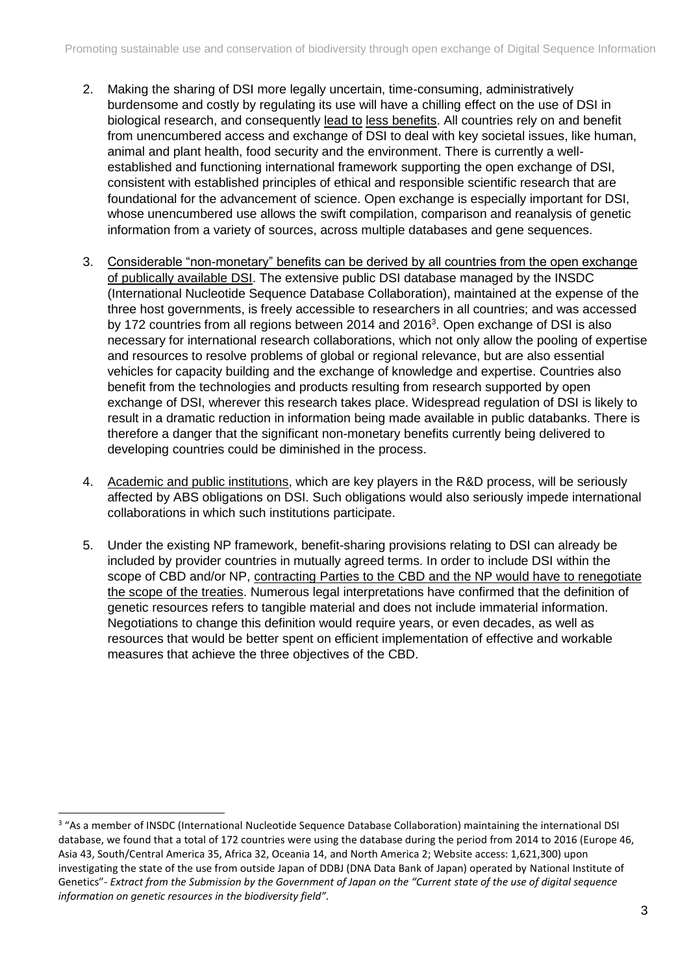- 2. Making the sharing of DSI more legally uncertain, time-consuming, administratively burdensome and costly by regulating its use will have a chilling effect on the use of DSI in biological research, and consequently lead to less benefits. All countries rely on and benefit from unencumbered access and exchange of DSI to deal with key societal issues, like human, animal and plant health, food security and the environment. There is currently a wellestablished and functioning international framework supporting the open exchange of DSI, consistent with established principles of ethical and responsible scientific research that are foundational for the advancement of science. Open exchange is especially important for DSI, whose unencumbered use allows the swift compilation, comparison and reanalysis of genetic information from a variety of sources, across multiple databases and gene sequences.
- 3. Considerable "non-monetary" benefits can be derived by all countries from the open exchange of publically available DSI. The extensive public DSI database managed by the INSDC (International Nucleotide Sequence Database Collaboration), maintained at the expense of the three host governments, is freely accessible to researchers in all countries; and was accessed by 172 countries from all regions between 2014 and 2016<sup>3</sup>. Open exchange of DSI is also necessary for international research collaborations, which not only allow the pooling of expertise and resources to resolve problems of global or regional relevance, but are also essential vehicles for capacity building and the exchange of knowledge and expertise. Countries also benefit from the technologies and products resulting from research supported by open exchange of DSI, wherever this research takes place. Widespread regulation of DSI is likely to result in a dramatic reduction in information being made available in public databanks. There is therefore a danger that the significant non-monetary benefits currently being delivered to developing countries could be diminished in the process.
- 4. Academic and public institutions, which are key players in the R&D process, will be seriously affected by ABS obligations on DSI. Such obligations would also seriously impede international collaborations in which such institutions participate.
- 5. Under the existing NP framework, benefit-sharing provisions relating to DSI can already be included by provider countries in mutually agreed terms. In order to include DSI within the scope of CBD and/or NP, contracting Parties to the CBD and the NP would have to renegotiate the scope of the treaties. Numerous legal interpretations have confirmed that the definition of genetic resources refers to tangible material and does not include immaterial information. Negotiations to change this definition would require years, or even decades, as well as resources that would be better spent on efficient implementation of effective and workable measures that achieve the three objectives of the CBD.

<sup>&</sup>lt;sup>3</sup> "As a member of INSDC (International Nucleotide Sequence Database Collaboration) maintaining the international DSI database, we found that a total of 172 countries were using the database during the period from 2014 to 2016 (Europe 46, Asia 43, South/Central America 35, Africa 32, Oceania 14, and North America 2; Website access: 1,621,300) upon investigating the state of the use from outside Japan of DDBJ (DNA Data Bank of Japan) operated by National Institute of Genetics"- *Extract from the Submission by the Government of Japan on the "Current state of the use of digital sequence information on genetic resources in the biodiversity field".*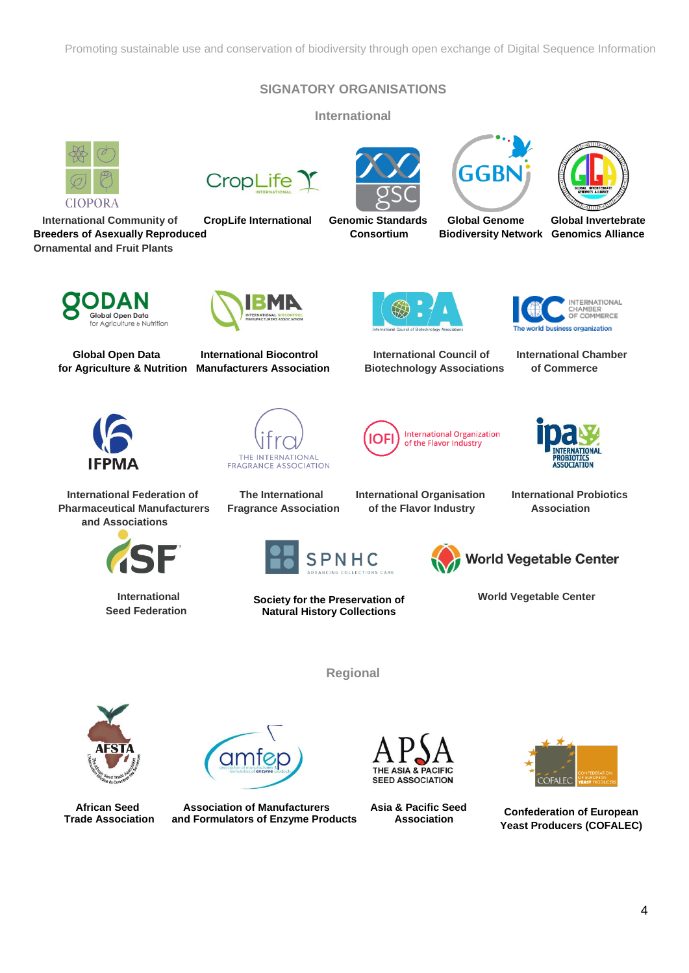#### **SIGNATORY ORGANISATIONS**

**International** 







 **International Community of CropLife International Genomic Standards Global Genome Global Invertebrate Breeders of Asexually Reproduced Consortium Biodiversity Network Genomics Alliance** 

TERNATIONAL



**Ornamental and Fruit Plants**



 **International Federation of The International International Organisation International Probiotics Pharmaceutical Manufacturers Fragrance Association of the Flavor Industry Association and Associations**



 **Seed Federation** 



 **Global Open Data International Biocontrol International Council of International Chamber** 















**Natural History Collections**

**Regional**





**International Society for the Preservation of World Vegetable Center** 



amte

 **African Seed Association of Manufacturers Asia & Pacific Seed Trade Association and Formulators of Enzyme Products Association** 





**Confederation of European Yeast Producers (COFALEC)**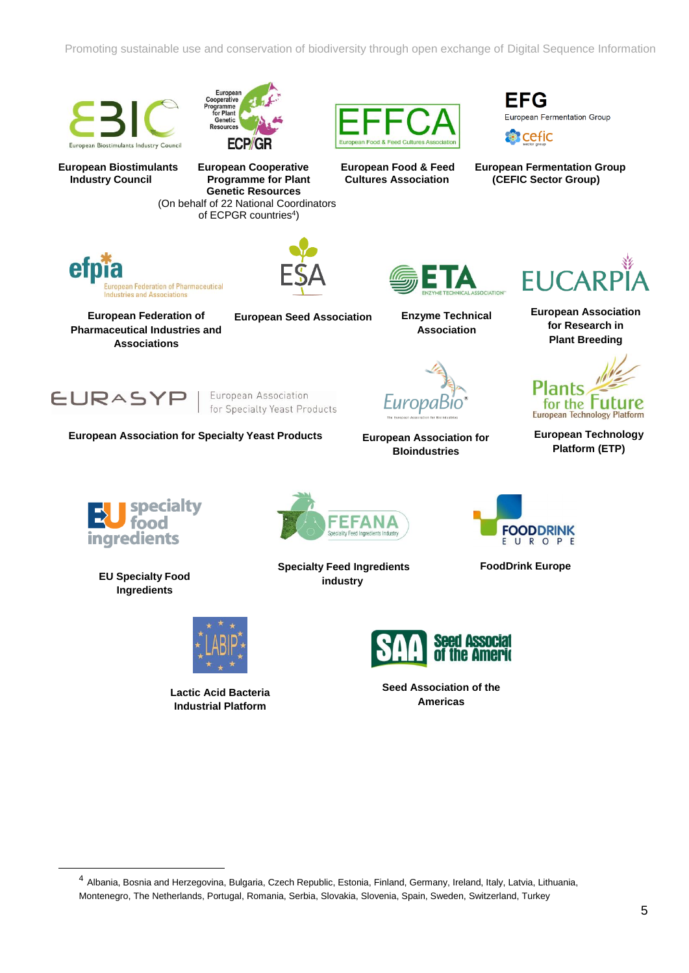





FFG European Fermentation Group



**European Biostimulants European Cooperative European Food & Feed European Fermentation Group Industry Council Programme for Plant Cultures Association (CEFIC Sector Group) Genetic Resources**  (On behalf of 22 National Coordinators of ECPGR countries<sup>4</sup>)



**European Federation of Pharmaceutical Industries and Associations**





**European Seed Association Enzyme Technical Association**





**European Association for Specialty Yeast Products European Technology** 



**European Association for BIoindustries**



**European Association for Research in Plant Breeding**



**Platform (ETP)**



**EU Specialty Food Ingredients**



**Lactic Acid Bacteria Industrial Platform** 



**Specialty Feed Ingredients industry**



**FoodDrink Europe**



**Seed Association of the Americas**

<sup>4</sup> Albania, Bosnia and Herzegovina, Bulgaria, Czech Republic, Estonia, Finland, Germany, Ireland, Italy, Latvia, Lithuania, Montenegro, The Netherlands, Portugal, Romania, Serbia, Slovakia, Slovenia, Spain, Sweden, Switzerland, Turkey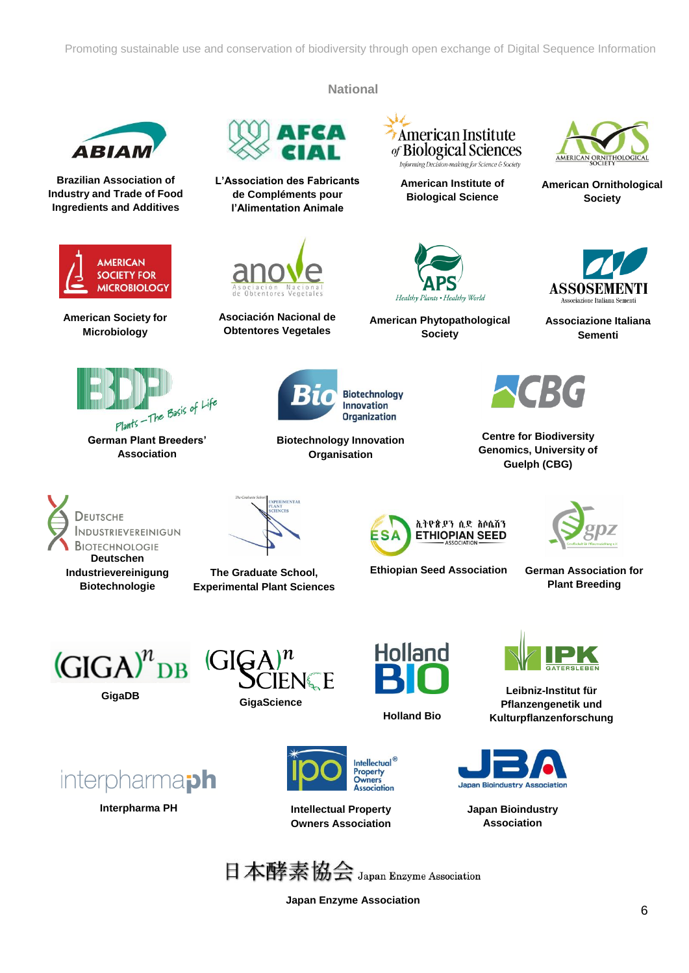**National**

**Biotechnology Innovation Organisation**

**Biotechnology Innovation Organization** 



**Brazilian Association of Industry and Trade of Food Ingredients and Additives**



**American Society for Microbiology**



**Association**



**L'Association des Fabricants de Compléments pour l'Alimentation Animale**



**Asociación Nacional de Obtentores Vegetales**

American Institute of Biological Sciences Informing Decision-making for Science & Society

**American Institute of Biological Science**



**American Phytopathological Society**



**American Ornithological Society**



**Associazione Italiana Sementi**



**Centre for Biodiversity Genomics, University of Guelph (CBG)**





**The Graduate School, Experimental Plant Sciences**



**Ethiopian Seed Association**

**German Association for Plant Breeding**



**Interpharma PH**

interpharma<sub>ph</sub>





**Holland Bio**



**Leibniz-Institut für Pflanzengenetik und Kulturpflanzenforschung**



**Japan Bioindustry Association**



**Intellectual Property Owners Association**

Intellectual<sup>®</sup> Property

**Association** 

Owners

**Japan Enzyme Association**